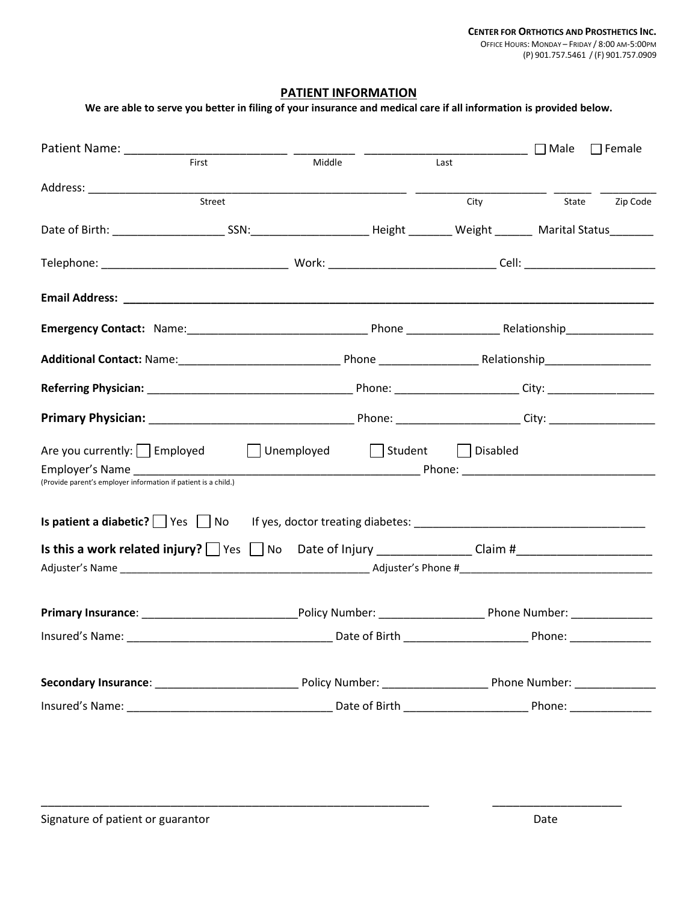## **PATIENT INFORMATION**

| We are able to serve you better in filing of your insurance and medical care if all information is provided below. |                                        |      |      |       |               |
|--------------------------------------------------------------------------------------------------------------------|----------------------------------------|------|------|-------|---------------|
|                                                                                                                    |                                        |      |      |       | $\Box$ Female |
| First                                                                                                              | Middle                                 | Last |      |       |               |
|                                                                                                                    |                                        |      |      |       |               |
| Street                                                                                                             |                                        |      | City | State | Zip Code      |
|                                                                                                                    |                                        |      |      |       |               |
|                                                                                                                    |                                        |      |      |       |               |
|                                                                                                                    |                                        |      |      |       |               |
|                                                                                                                    |                                        |      |      |       |               |
|                                                                                                                    |                                        |      |      |       |               |
|                                                                                                                    |                                        |      |      |       |               |
|                                                                                                                    |                                        |      |      |       |               |
| Are you currently: Employed Unemployed Student Disabled                                                            |                                        |      |      |       |               |
| (Provide parent's employer information if patient is a child.)                                                     |                                        |      |      |       |               |
|                                                                                                                    |                                        |      |      |       |               |
|                                                                                                                    |                                        |      |      |       |               |
|                                                                                                                    |                                        |      |      |       |               |
|                                                                                                                    |                                        |      |      |       |               |
| <b>Primary Insurance:</b>                                                                                          | ____________________Policy Number: ___ |      |      |       |               |
|                                                                                                                    |                                        |      |      |       |               |
|                                                                                                                    |                                        |      |      |       |               |
|                                                                                                                    |                                        |      |      |       |               |

\_\_\_\_\_\_\_\_\_\_\_\_\_\_\_\_\_\_\_\_\_\_\_\_\_\_\_\_\_\_\_\_\_\_\_\_\_\_\_\_\_\_\_\_\_\_\_\_\_\_\_\_\_\_\_\_\_ \_\_\_\_\_\_\_\_\_\_\_\_\_\_\_\_\_\_\_